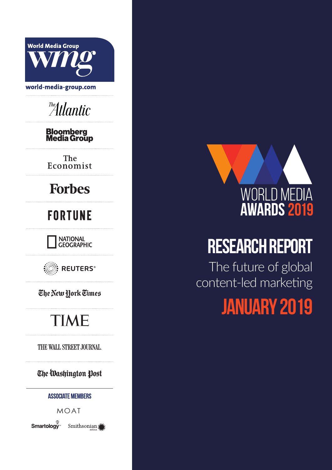



# **RESEARCH REPORT**

 The future of global content-led marketing

# **January 2019**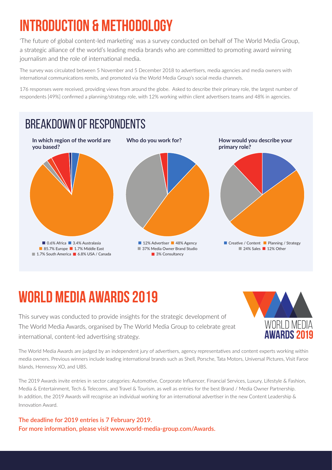## **Introduction & Methodology**

'The future of global content-led marketing' was a survey conducted on behalf of The World Media Group, a strategic alliance of the world's leading media brands who are committed to promoting award winning journalism and the role of international media.

The survey was circulated between 5 November and 5 December 2018 to advertisers, media agencies and media owners with international communications remits, and promoted via the World Media Group's social media channels.

176 responses were received, providing views from around the globe. Asked to describe their primary role, the largest number of respondents [49%] confirmed a planning/strategy role, with 12% working within client advertisers teams and 48% in agencies.



## **WORLD MEDIA AWARDS 2019**

This survey was conducted to provide insights for the strategic development of The World Media Awards, organised by The World Media Group to celebrate great international, content-led advertising strategy.



The World Media Awards are judged by an independent jury of advertisers, agency representatives and content experts working within media owners. Previous winners include leading international brands such as Shell, Porsche, Tata Motors, Universal Pictures, Visit Faroe Islands, Hennessy XO, and UBS.

The 2019 Awards invite entries in sector categories: Automotive, Corporate Influencer, Financial Services, Luxury, Lifestyle & Fashion, Media & Entertainment, Tech & Telecoms, and Travel & Tourism, as well as entries for the best Brand / Media Owner Partnership. In addition, the 2019 Awards will recognise an individual working for an international advertiser in the new Content Leadership & Innovation Award.

**The deadline for 2019 entries is 7 February 2019. For more information, please visit www.world-media-group.com/Awards.**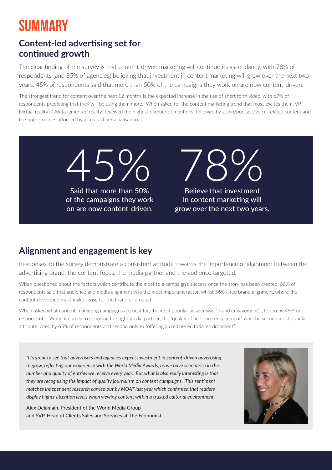## **SUMMARY**

### **Content-led advertising set for continued growth**

The clear finding of the survey is that content-driven marketing will continue its ascendancy, with 78% of respondents [and 85% of agencies] believing that investment in content marketing will grow over the next two years. 45% of respondents said that more than 50% of the campaigns they work on are now content-driven.

The strongest trend for content over the next 12 months is the expected increase in the use of short form video, with 69% of respondents predicting that they will be using them more. When asked for the content marketing trend that most excites them, VR [virtual reality] / AR [augmented reality] received the highest number of mentions, followed by audio/podcast/voice-related content and the opportunities afforded by increased personalisation.

> 45% 78% Said that more than 50% of the campaigns they work

on are now content-driven.

Believe that investment in content marketing will grow over the next two years.

### **Alignment and engagement is key**

Responses to the survey demonstrate a consistent attitude towards the importance of alignment between the advertising brand, the content focus, the media partner and the audience targeted.

When questioned about the factors which contribute the most to a campaign's success once the story has been created, 66% of respondents said that audience and media alignment was the most important factor, whilst 56% cited brand alignment, where the content developed must make sense for the brand or product.

When asked what content-marketing campaigns are best for, the most popular answer was "brand engagement", chosen by 49% of respondents. When it comes to choosing the right media partner, the "quality of audience engagement" was the second most popular attribute, cited by 65% of respondents and second only to "offering a credible editorial environment".

*"It's great to see that advertisers and agencies expect investment in content-driven advertising to grow, reflecting our experience with the World Media Awards, as we have seen a rise in the number and quality of entries we receive every year. But what is also really interesting is that they are recognising the impact of quality journalism on content campaigns. This sentiment matches independent research carried out by MOAT last year which confirmed that readers display higher attention levels when viewing content within a trusted editorial environment."*

Alex Delamain, President of the World Media Group and SVP, Head of Clients Sales and Services at The Economist,

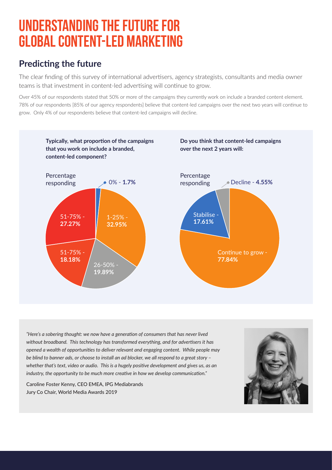## **Understanding the future for global content-led marketing**

### **Predicting the future**

The clear finding of this survey of international advertisers, agency strategists, consultants and media owner teams is that investment in content-led advertising will continue to grow.

Over 45% of our respondents stated that 50% or more of the campaigns they currently work on include a branded content element. 78% of our respondents [85% of our agency respondents] believe that content-led campaigns over the next two years will continue to grow. Only 4% of our respondents believe that content-led campaigns will decline.



*"Here's a sobering thought: we now have a generation of consumers that has never lived without broadband. This technology has transformed everything, and for advertisers it has opened a wealth of opportunities to deliver relevant and engaging content. While people may be blind to banner ads, or choose to install an ad blocker, we all respond to a great story – whether that's text, video or audio. This is a hugely positive development and gives us, as an industry, the opportunity to be much more creative in how we develop communication."*

Caroline Foster Kenny, CEO EMEA, IPG Mediabrands Jury Co Chair, World Media Awards 2019

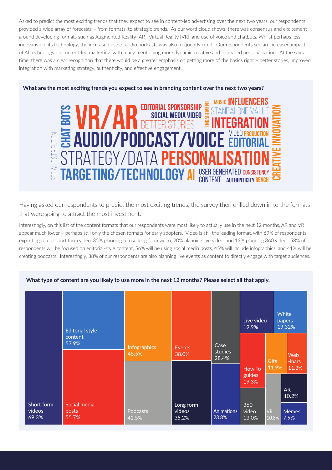Asked to predict the most exciting trends that they expect to see in content-led advertising over the next two years, our respondents provided a wide array of forecasts – from formats, to strategic trends. As our word cloud shows, there was consensus and excitement around developing formats such as Augmented Reality [AR], Virtual Reality [VR], and use of voice and chatbots. Whilst perhaps less innovative in its technology, the increased use of audio podcasts was also frequently cited. Our respondents see an increased impact of AI technology on content-led marketing, with many mentioning more dynamic creative and increased personalisation. At the same time, there was a clear recognition that there would be a greater emphasis on getting more of the basics right – better stories, improved integration with marketing strategy, authenticity, and effective engagement.

#### **What are the most exciting trends you expect to see in branding content over the next two years?**



Having asked our respondents to predict the most exciting trends, the survey then drilled down in to the formats that were going to attract the most investment.

Interestingly, on this list of the content formats that our respondents were most likely to actually use in the next 12 months, AR and VR appear much lower – perhaps still only the chosen formats for early adopters. Video is still the leading format, with 69% of respondents expecting to use short form video, 35% planning to use long form video, 20% planning live video, and 13% planning 360 video. 58% of respondents will be focused on editorial-style content, 56% will be using social media posts, 45% will include infographics, and 41% will be creating podcasts. Interestingly, 38% of our respondents are also planning live events as content to directly engage with target audiences.

|                               | <b>Editorial style</b>         |                       |                              |                            | Live video<br>19.9%       |                    | White<br>papers<br>19.32% |  |
|-------------------------------|--------------------------------|-----------------------|------------------------------|----------------------------|---------------------------|--------------------|---------------------------|--|
|                               | content<br>57.9%               | Infographics<br>45.5% | Events<br>38.0%              | Case<br>studies<br>28.4%   |                           | <b>Gifs</b>        | Web<br>-inars             |  |
|                               |                                |                       |                              |                            | How To<br>guides<br>19.3% | 11.9%              | 11.3%                     |  |
|                               |                                |                       |                              |                            |                           |                    | <b>AR</b><br>10.2%        |  |
| Short form<br>videos<br>69.3% | Social media<br>posts<br>55.7% | Podcasts<br>41.5%     | Long form<br>videos<br>35.2% | <b>Animations</b><br>23.8% | 360<br>video<br>13.0%     | <b>VR</b><br>10.8% | <b>Memes</b><br>7.9%      |  |

#### **What type of content are you likely to use more in the next 12 months? Please select all that apply.**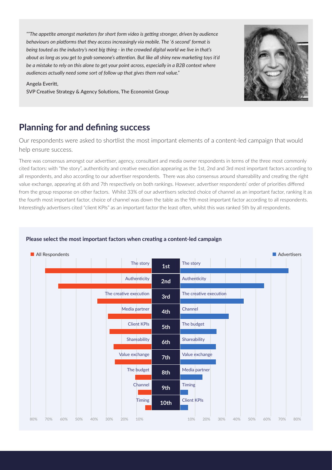*""The appetite amongst marketers for short form video is getting stronger, driven by audience behaviours on platforms that they access increasingly via mobile. The '6 second' format is being touted as the industry's next big thing - in the crowded digital world we live in that's about as long as you get to grab someone's attention. But like all shiny new marketing toys it'd be a mistake to rely on this alone to get your point across, especially in a B2B context where audiences actually need some sort of follow up that gives them real value."*

#### Angela Everitt,

SVP Creative Strategy & Agency Solutions, The Economist Group



### **Planning for and defining success**

Our respondents were asked to shortlist the most important elements of a content-led campaign that would help ensure success.

There was consensus amongst our advertiser, agency, consultant and media owner respondents in terms of the three most commonly cited factors: with "the story", authenticity and creative execution appearing as the 1st, 2nd and 3rd most important factors according to all respondents, and also according to our advertiser respondents. There was also consensus around shareability and creating the right value exchange, appearing at 6th and 7th respectively on both rankings. However, advertiser respondents' order of priorities differed from the group response on other factors. Whilst 33% of our advertisers selected choice of channel as an important factor, ranking it as the fourth most important factor, choice of channel was down the table as the 9th most important factor according to all respondents. Interestingly advertisers cited "client KPIs" as an important factor the least often, whilst this was ranked 5th by all respondents.



#### **Please select the most important factors when creating a content-led campaign**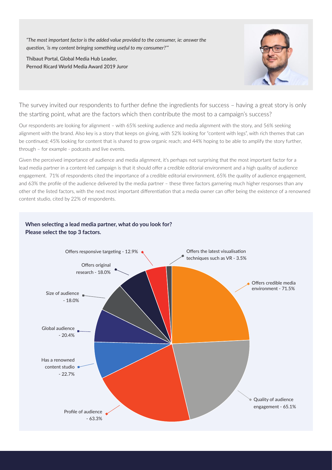*"The most important factor is the added value provided to the consumer, ie: answer the question, 'is my content bringing something useful to my consumer?'"*

Thibaut Portal, Global Media Hub Leader, Pernod Ricard World Media Award 2019 Juror



The survey invited our respondents to further define the ingredients for success – having a great story is only the starting point, what are the factors which then contribute the most to a campaign's success?

Our respondents are looking for alignment – with 65% seeking audience and media alignment with the story, and 56% seeking alignment with the brand. Also key is a story that keeps on giving, with 52% looking for "content with legs", with rich themes that can be continued; 45% looking for content that is shared to grow organic reach; and 44% hoping to be able to amplify the story further, through – for example - podcasts and live events.

Given the perceived importance of audience and media alignment, it's perhaps not surprising that the most important factor for a lead media partner in a content-led campaign is that it should offer a credible editorial environment and a high quality of audience engagement. 71% of respondents cited the importance of a credible editorial environment, 65% the quality of audience engagement, and 63% the profile of the audience delivered by the media partner – these three factors garnering much higher responses than any other of the listed factors, with the next most important differentiation that a media owner can offer being the existence of a renowned content studio, cited by 22% of respondents.

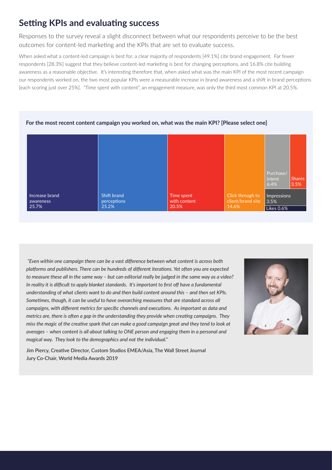### **Setting KPIs and evaluating success**

Responses to the survey reveal a slight disconnect between what our respondents perceive to be the best outcomes for content-led marketing and the KPIs that are set to evaluate success.

When asked what a content-led campaign is best for, a clear majority of respondents [49.1%] cite brand engagement. Far fewer respondents [28.3%] suggest that they believe content-led marketing is best for changing perceptions, and 16.8% cite building awareness as a reasonable objective. It's interesting therefore that, when asked what was the main KPI of the most recent campaign our respondents worked on, the two most popular KPIs were a measurable increase in brand awareness and a shift in brand perceptions [each scoring just over 25%]. "Time spent with content", an engagement measure, was only the third most common KPI at 20.5%.



#### **For the most recent content campaign you worked on, what was the main KPI? [Please select one]**

 *"Even within one campaign there can be a vast difference between what content is across both platforms and publishers. There can be hundreds of different iterations. Yet often you are expected to measure these all in the same way – but can editorial really be judged in the same way as a video? In reality it is difficult to apply blanket standards. It's important to first off have a fundamental understanding of what clients want to do and then build content around this – and then set KPIs. Sometimes, though, it can be useful to have overarching measures that are standard across all campaigns, with different metrics for specific channels and executions. As important as data and metrics are, there is often a gap in the understanding they provide when creating campaigns. They miss the magic of the creative spark that can make a good campaign great and they tend to look at averages – when content is all about talking to ONE person and engaging them in a personal and magical way. They look to the demographics and not the individual."*



Jim Piercy, Creative Director, Custom Studios EMEA/Asia, The Wall Street Journal Jury Co-Chair, World Media Awards 2019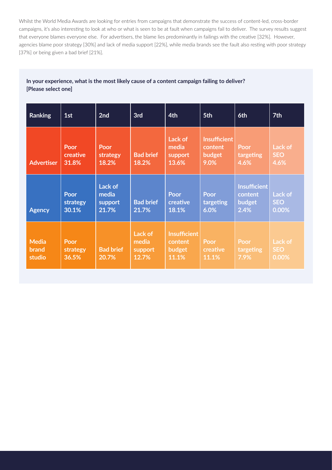Whilst the World Media Awards are looking for entries from campaigns that demonstrate the success of content-led, cross-border campaigns, it's also interesting to look at who or what is seen to be at fault when campaigns fail to deliver. The survey results suggest that everyone blames everyone else. For advertisers, the blame lies predominantly in failings with the creative [32%]. However, agencies blame poor strategy [30%] and lack of media support [22%], while media brands see the fault also resting with poor strategy [37%] or being given a bad brief [21%].

#### **In your experience, what is the most likely cause of a content campaign failing to deliver? [Please select one]**

| <b>Ranking</b>                  | 1st                       | 2nd                                  | 3rd                                  | 4th                                               | 5th                                              | 6th                                              | 7th                            |
|---------------------------------|---------------------------|--------------------------------------|--------------------------------------|---------------------------------------------------|--------------------------------------------------|--------------------------------------------------|--------------------------------|
| <b>Advertiser</b>               | Poor<br>creative<br>31.8% | Poor<br>strategy<br>18.2%            | <b>Bad brief</b><br>18.2%            | Lack of<br>media<br>support<br>13.6%              | <b>Insufficient</b><br>content<br>budget<br>9.0% | Poor<br>targeting<br>4.6%                        | Lack of<br><b>SEO</b><br>4.6%  |
| <b>Agency</b>                   | Poor<br>strategy<br>30.1% | Lack of<br>media<br>support<br>21.7% | <b>Bad brief</b><br>21.7%            | <b>Poor</b><br>creative<br>18.1%                  | Poor<br>targeting<br>6.0%                        | <b>Insufficient</b><br>content<br>budget<br>2.4% | Lack of<br><b>SEO</b><br>0.00% |
| <b>Media</b><br>brand<br>studio | Poor<br>strategy<br>36.5% | <b>Bad brief</b><br>20.7%            | Lack of<br>media<br>support<br>12.7% | <b>Insufficient</b><br>content<br>budget<br>11.1% | Poor<br>creative<br>11.1%                        | Poor<br>targeting<br>7.9%                        | Lack of<br><b>SEO</b><br>0.00% |